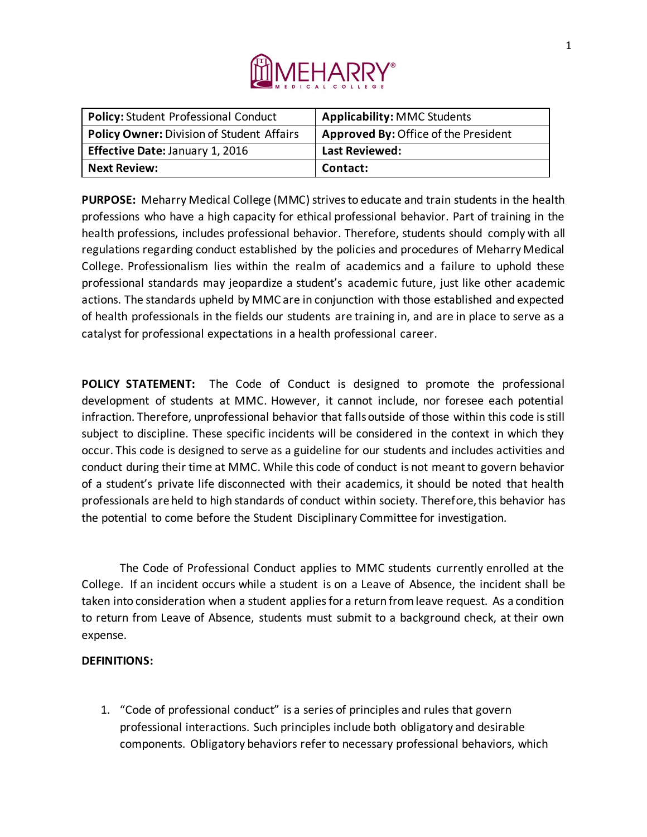

| <b>Policy: Student Professional Conduct</b> | <b>Applicability: MMC Students</b>          |
|---------------------------------------------|---------------------------------------------|
| Policy Owner: Division of Student Affairs   | <b>Approved By: Office of the President</b> |
| <b>Effective Date: January 1, 2016</b>      | <b>Last Reviewed:</b>                       |
| <b>Next Review:</b>                         | Contact:                                    |

**PURPOSE:** Meharry Medical College (MMC) strives to educate and train students in the health professions who have a high capacity for ethical professional behavior. Part of training in the health professions, includes professional behavior. Therefore, students should comply with all regulations regarding conduct established by the policies and procedures of Meharry Medical College. Professionalism lies within the realm of academics and a failure to uphold these professional standards may jeopardize a student's academic future, just like other academic actions. The standards upheld by MMC are in conjunction with those established and expected of health professionals in the fields our students are training in, and are in place to serve as a catalyst for professional expectations in a health professional career.

**POLICY STATEMENT:** The Code of Conduct is designed to promote the professional development of students at MMC. However, it cannot include, nor foresee each potential infraction. Therefore, unprofessional behavior that falls outside of those within this code is still subject to discipline. These specific incidents will be considered in the context in which they occur. This code is designed to serve as a guideline for our students and includes activities and conduct during their time at MMC. While this code of conduct is not meant to govern behavior of a student's private life disconnected with their academics, it should be noted that health professionals are held to high standards of conduct within society. Therefore, this behavior has the potential to come before the Student Disciplinary Committee for investigation.

The Code of Professional Conduct applies to MMC students currently enrolled at the College. If an incident occurs while a student is on a Leave of Absence, the incident shall be taken into consideration when a student applies for a return from leave request. As a condition to return from Leave of Absence, students must submit to a background check, at their own expense.

#### **DEFINITIONS:**

1. "Code of professional conduct" is a series of principles and rules that govern professional interactions. Such principles include both obligatory and desirable components. Obligatory behaviors refer to necessary professional behaviors, which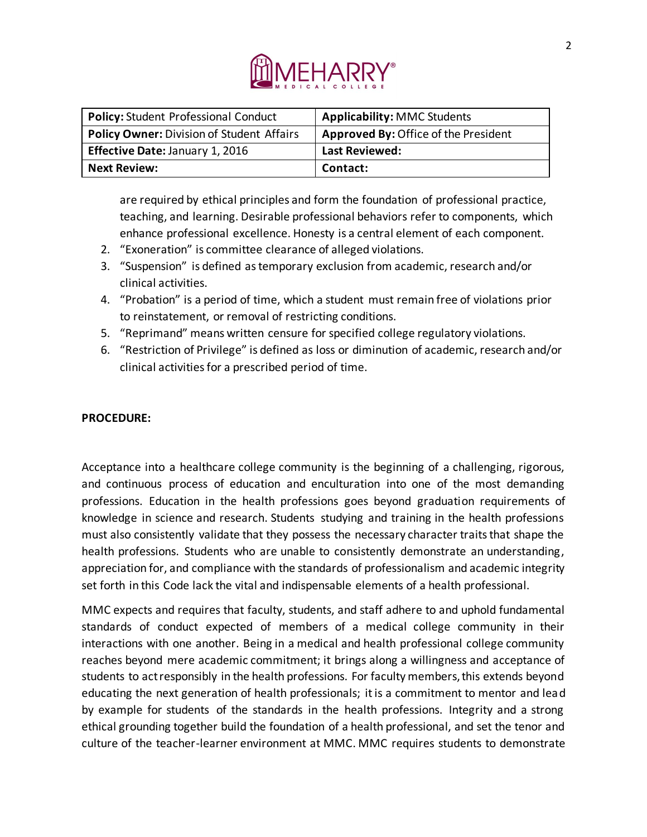

| <b>Policy: Student Professional Conduct</b>      | <b>Applicability: MMC Students</b>   |
|--------------------------------------------------|--------------------------------------|
| <b>Policy Owner: Division of Student Affairs</b> | Approved By: Office of the President |
| Effective Date: January 1, 2016                  | Last Reviewed:                       |
| <b>Next Review:</b>                              | Contact:                             |

are required by ethical principles and form the foundation of professional practice, teaching, and learning. Desirable professional behaviors refer to components, which enhance professional excellence. Honesty is a central element of each component.

- 2. "Exoneration" is committee clearance of alleged violations.
- 3. "Suspension" is defined as temporary exclusion from academic, research and/or clinical activities.
- 4. "Probation" is a period of time, which a student must remain free of violations prior to reinstatement, or removal of restricting conditions.
- 5. "Reprimand" means written censure for specified college regulatory violations.
- 6. "Restriction of Privilege" is defined as loss or diminution of academic, research and/or clinical activities for a prescribed period of time.

# **PROCEDURE:**

Acceptance into a healthcare college community is the beginning of a challenging, rigorous, and continuous process of education and enculturation into one of the most demanding professions. Education in the health professions goes beyond graduation requirements of knowledge in science and research. Students studying and training in the health professions must also consistently validate that they possess the necessary character traits that shape the health professions. Students who are unable to consistently demonstrate an understanding, appreciation for, and compliance with the standards of professionalism and academic integrity set forth in this Code lack the vital and indispensable elements of a health professional.

MMC expects and requires that faculty, students, and staff adhere to and uphold fundamental standards of conduct expected of members of a medical college community in their interactions with one another. Being in a medical and health professional college community reaches beyond mere academic commitment; it brings along a willingness and acceptance of students to act responsibly in the health professions. For faculty members, this extends beyond educating the next generation of health professionals; it is a commitment to mentor and lead by example for students of the standards in the health professions. Integrity and a strong ethical grounding together build the foundation of a health professional, and set the tenor and culture of the teacher-learner environment at MMC. MMC requires students to demonstrate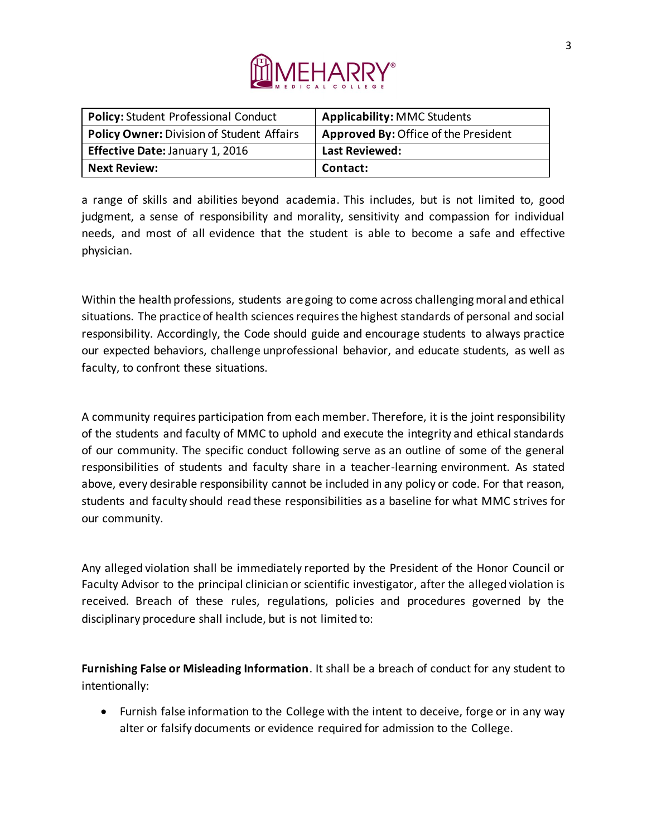

| <b>Policy: Student Professional Conduct</b> | <b>Applicability: MMC Students</b>   |
|---------------------------------------------|--------------------------------------|
| Policy Owner: Division of Student Affairs   | Approved By: Office of the President |
| <b>Effective Date: January 1, 2016</b>      | <b>Last Reviewed:</b>                |
| <b>Next Review:</b>                         | Contact:                             |

a range of skills and abilities beyond academia. This includes, but is not limited to, good judgment, a sense of responsibility and morality, sensitivity and compassion for individual needs, and most of all evidence that the student is able to become a safe and effective physician.

Within the health professions, students are going to come across challenging moral and ethical situations. The practice of health sciences requires the highest standards of personal and social responsibility. Accordingly, the Code should guide and encourage students to always practice our expected behaviors, challenge unprofessional behavior, and educate students, as well as faculty, to confront these situations.

A community requires participation from each member. Therefore, it is the joint responsibility of the students and faculty of MMC to uphold and execute the integrity and ethical standards of our community. The specific conduct following serve as an outline of some of the general responsibilities of students and faculty share in a teacher-learning environment. As stated above, every desirable responsibility cannot be included in any policy or code. For that reason, students and faculty should read these responsibilities as a baseline for what MMC strives for our community.

Any alleged violation shall be immediately reported by the President of the Honor Council or Faculty Advisor to the principal clinician or scientific investigator, after the alleged violation is received. Breach of these rules, regulations, policies and procedures governed by the disciplinary procedure shall include, but is not limited to:

**Furnishing False or Misleading Information**. It shall be a breach of conduct for any student to intentionally:

• Furnish false information to the College with the intent to deceive, forge or in any way alter or falsify documents or evidence required for admission to the College.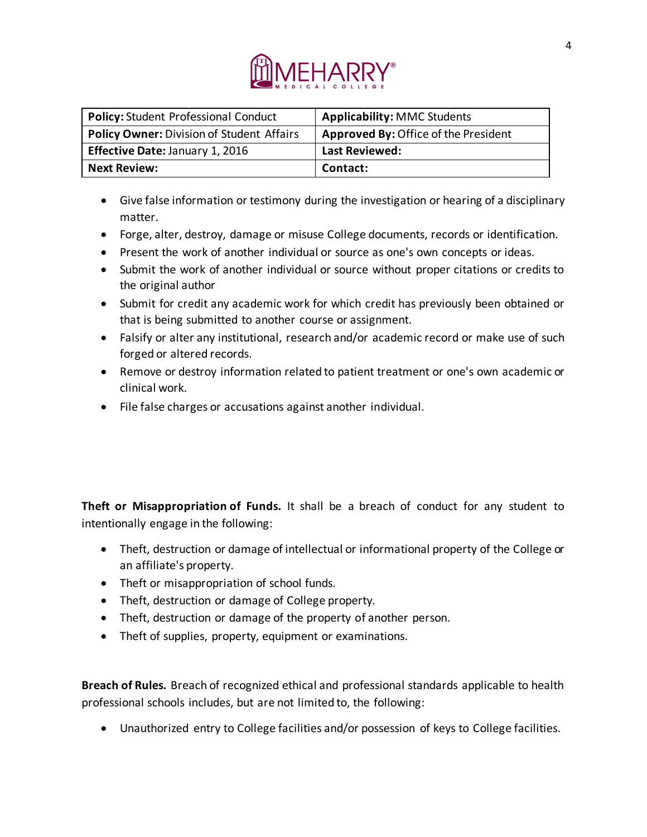

| <b>Policy: Student Professional Conduct</b>      | <b>Applicability: MMC Students</b>   |
|--------------------------------------------------|--------------------------------------|
| <b>Policy Owner: Division of Student Affairs</b> | Approved By: Office of the President |
| Effective Date: January 1, 2016                  | <b>Last Reviewed:</b>                |
| <b>Next Review:</b>                              | Contact:                             |

- Give false information or testimony during the investigation or hearing of a disciplinary matter.
- Forge, alter, destroy, damage or misuse College documents, records or identification.
- Present the work of another individual or source as one's own concepts or ideas.
- Submit the work of another individual or source without proper citations or credits to the original author
- Submit for credit any academic work for which credit has previously been obtained or that is being submitted to another course or assignment.
- Falsify or alter any institutional, research and/or academic record or make use of such forged or altered records.
- Remove or destroy information related to patient treatment or one's own academic or clinical work.
- File false charges or accusations against another individual.

**Theft or Misappropriation of Funds.** It shall be a breach of conduct for any student to intentionally engage in the following:

- Theft, destruction or damage of intellectual or informational property of the College or an affiliate's property.
- Theft or misappropriation of school funds.
- Theft, destruction or damage of College property.
- Theft, destruction or damage of the property of another person.
- Theft of supplies, property, equipment or examinations.

**Breach of Rules.** Breach of recognized ethical and professional standards applicable to health professional schools includes, but are not limited to, the following:

• Unauthorized entry to College facilities and/or possession of keys to College facilities.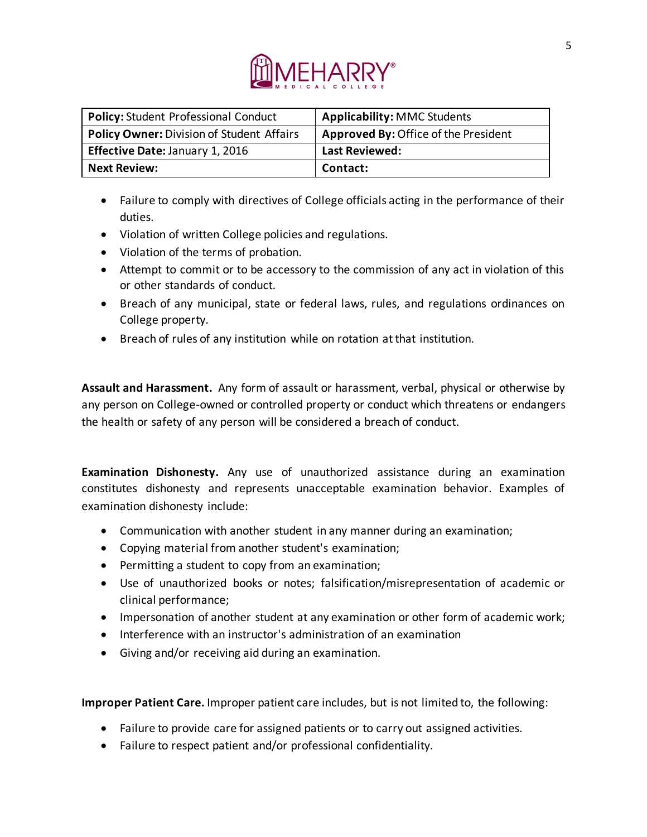

| <b>Policy: Student Professional Conduct</b>      | <b>Applicability: MMC Students</b>          |
|--------------------------------------------------|---------------------------------------------|
| <b>Policy Owner: Division of Student Affairs</b> | <b>Approved By: Office of the President</b> |
| <b>Effective Date: January 1, 2016</b>           | <b>Last Reviewed:</b>                       |
| <b>Next Review:</b>                              | Contact:                                    |

- Failure to comply with directives of College officials acting in the performance of their duties.
- Violation of written College policies and regulations.
- Violation of the terms of probation.
- Attempt to commit or to be accessory to the commission of any act in violation of this or other standards of conduct.
- Breach of any municipal, state or federal laws, rules, and regulations ordinances on College property.
- Breach of rules of any institution while on rotation at that institution.

**Assault and Harassment.** Any form of assault or harassment, verbal, physical or otherwise by any person on College-owned or controlled property or conduct which threatens or endangers the health or safety of any person will be considered a breach of conduct.

**Examination Dishonesty.** Any use of unauthorized assistance during an examination constitutes dishonesty and represents unacceptable examination behavior. Examples of examination dishonesty include:

- Communication with another student in any manner during an examination;
- Copying material from another student's examination;
- Permitting a student to copy from an examination;
- Use of unauthorized books or notes; falsification/misrepresentation of academic or clinical performance;
- Impersonation of another student at any examination or other form of academic work;
- Interference with an instructor's administration of an examination
- Giving and/or receiving aid during an examination.

**Improper Patient Care.** Improper patient care includes, but is not limited to, the following:

- Failure to provide care for assigned patients or to carry out assigned activities.
- Failure to respect patient and/or professional confidentiality.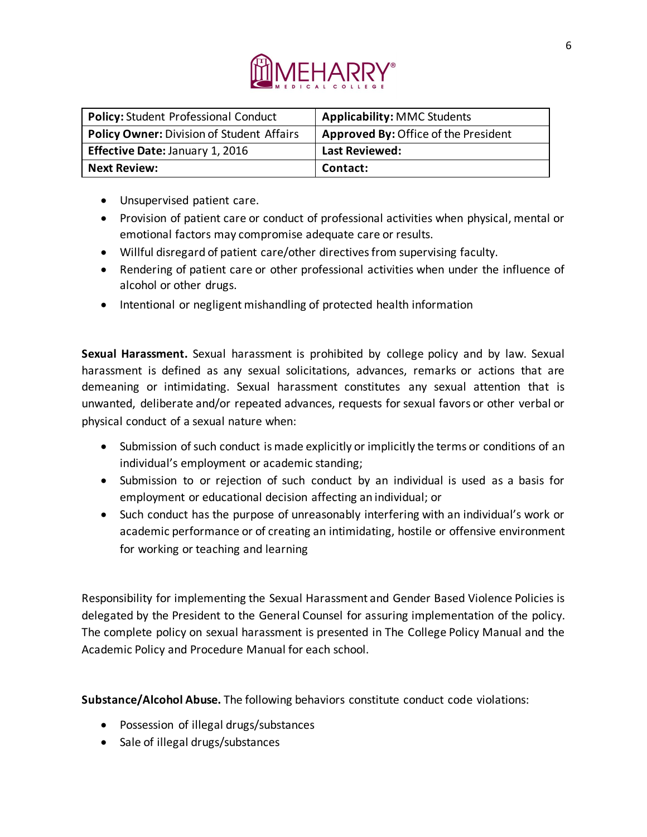

| <b>Policy: Student Professional Conduct</b>      | <b>Applicability: MMC Students</b>   |
|--------------------------------------------------|--------------------------------------|
| <b>Policy Owner: Division of Student Affairs</b> | Approved By: Office of the President |
| Effective Date: January 1, 2016                  | <b>Last Reviewed:</b>                |
| <b>Next Review:</b>                              | Contact:                             |

- Unsupervised patient care.
- Provision of patient care or conduct of professional activities when physical, mental or emotional factors may compromise adequate care or results.
- Willful disregard of patient care/other directives from supervising faculty.
- Rendering of patient care or other professional activities when under the influence of alcohol or other drugs.
- Intentional or negligent mishandling of protected health information

**Sexual Harassment.** Sexual harassment is prohibited by college policy and by law. Sexual harassment is defined as any sexual solicitations, advances, remarks or actions that are demeaning or intimidating. Sexual harassment constitutes any sexual attention that is unwanted, deliberate and/or repeated advances, requests for sexual favors or other verbal or physical conduct of a sexual nature when:

- Submission of such conduct is made explicitly or implicitly the terms or conditions of an individual's employment or academic standing;
- Submission to or rejection of such conduct by an individual is used as a basis for employment or educational decision affecting an individual; or
- Such conduct has the purpose of unreasonably interfering with an individual's work or academic performance or of creating an intimidating, hostile or offensive environment for working or teaching and learning

Responsibility for implementing the Sexual Harassment and Gender Based Violence Policies is delegated by the President to the General Counsel for assuring implementation of the policy. The complete policy on sexual harassment is presented in The College Policy Manual and the Academic Policy and Procedure Manual for each school.

**Substance/Alcohol Abuse.** The following behaviors constitute conduct code violations:

- Possession of illegal drugs/substances
- Sale of illegal drugs/substances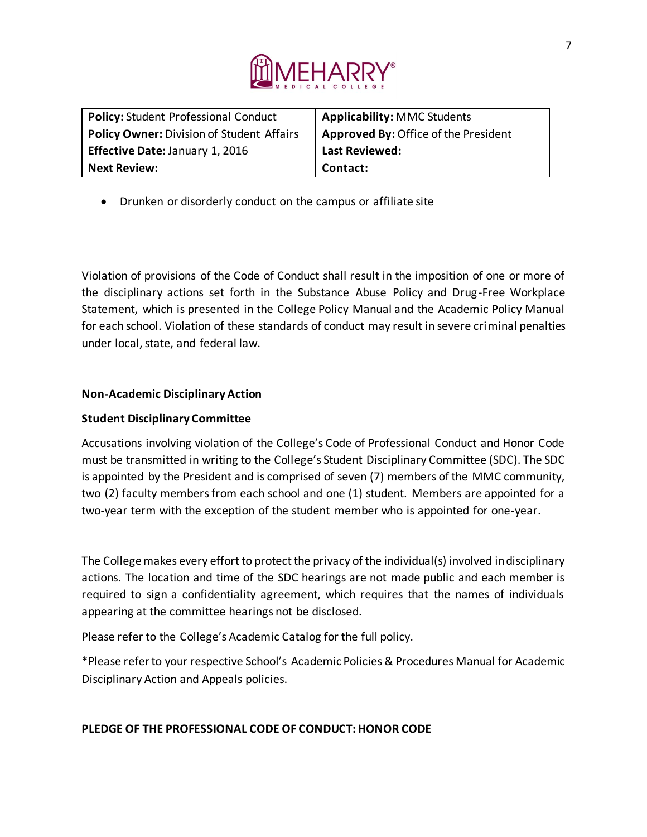

| <b>Policy: Student Professional Conduct</b> | <b>Applicability: MMC Students</b>   |
|---------------------------------------------|--------------------------------------|
| Policy Owner: Division of Student Affairs   | Approved By: Office of the President |
| <b>Effective Date: January 1, 2016</b>      | <b>Last Reviewed:</b>                |
| <b>Next Review:</b>                         | Contact:                             |

• Drunken or disorderly conduct on the campus or affiliate site

Violation of provisions of the Code of Conduct shall result in the imposition of one or more of the disciplinary actions set forth in the Substance Abuse Policy and Drug-Free Workplace Statement, which is presented in the College Policy Manual and the Academic Policy Manual for each school. Violation of these standards of conduct may result in severe criminal penalties under local, state, and federal law.

# **Non-Academic Disciplinary Action**

### **Student Disciplinary Committee**

Accusations involving violation of the College's Code of Professional Conduct and Honor Code must be transmitted in writing to the College's Student Disciplinary Committee (SDC). The SDC is appointed by the President and is comprised of seven (7) members of the MMC community, two (2) faculty members from each school and one (1) student. Members are appointed for a two-year term with the exception of the student member who is appointed for one-year.

The College makes every effort to protect the privacy of the individual(s) involved in disciplinary actions. The location and time of the SDC hearings are not made public and each member is required to sign a confidentiality agreement, which requires that the names of individuals appearing at the committee hearings not be disclosed.

Please refer to the College's Academic Catalog for the full policy.

\*Please refer to your respective School's Academic Policies & Procedures Manual for Academic Disciplinary Action and Appeals policies.

# **PLEDGE OF THE PROFESSIONAL CODE OF CONDUCT: HONOR CODE**